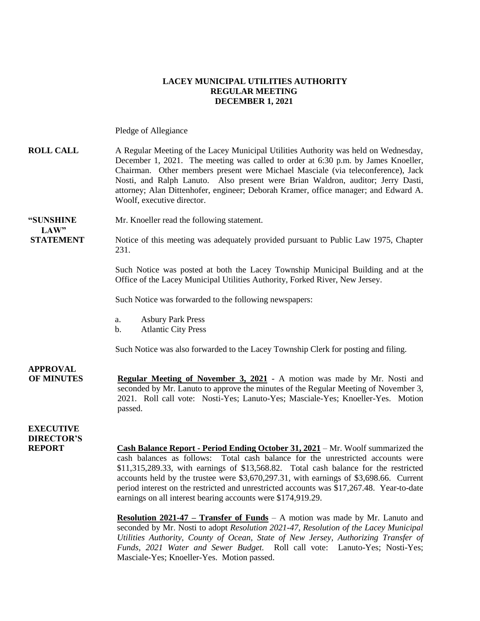#### **LACEY MUNICIPAL UTILITIES AUTHORITY REGULAR MEETING DECEMBER 1, 2021**

Pledge of Allegiance

#### **ROLL CALL** A Regular Meeting of the Lacey Municipal Utilities Authority was held on Wednesday, December 1, 2021. The meeting was called to order at 6:30 p.m. by James Knoeller, Chairman. Other members present were Michael Masciale (via teleconference), Jack Nosti, and Ralph Lanuto. Also present were Brian Waldron, auditor; Jerry Dasti, attorney; Alan Dittenhofer, engineer; Deborah Kramer, office manager; and Edward A. Woolf, executive director.

# **LAW"**

**"SUNSHINE** Mr. Knoeller read the following statement.

**STATEMENT** Notice of this meeting was adequately provided pursuant to Public Law 1975, Chapter 231.

> Such Notice was posted at both the Lacey Township Municipal Building and at the Office of the Lacey Municipal Utilities Authority, Forked River, New Jersey.

Such Notice was forwarded to the following newspapers:

- a. Asbury Park Press
- b. Atlantic City Press

Such Notice was also forwarded to the Lacey Township Clerk for posting and filing.

**APPROVAL OF MINUTES Regular Meeting of November 3, 2021** - A motion was made by Mr. Nosti and seconded by Mr. Lanuto to approve the minutes of the Regular Meeting of November 3, 2021. Roll call vote: Nosti-Yes; Lanuto-Yes; Masciale-Yes; Knoeller-Yes. Motion passed.

### **EXECUTIVE DIRECTOR'S**

**REPORT Cash Balance Report - Period Ending October 31, 2021** – Mr. Woolf summarized the cash balances as follows: Total cash balance for the unrestricted accounts were \$11,315,289.33, with earnings of \$13,568.82. Total cash balance for the restricted accounts held by the trustee were \$3,670,297.31, with earnings of \$3,698.66. Current period interest on the restricted and unrestricted accounts was \$17,267.48. Year-to-date earnings on all interest bearing accounts were \$174,919.29.

> **Resolution 2021-47 – Transfer of Funds** – A motion was made by Mr. Lanuto and seconded by Mr. Nosti to adopt *Resolution 2021-47, Resolution of the Lacey Municipal Utilities Authority, County of Ocean, State of New Jersey, Authorizing Transfer of Funds, 2021 Water and Sewer Budget.* Roll call vote: Lanuto-Yes; Nosti-Yes; Masciale-Yes; Knoeller-Yes. Motion passed.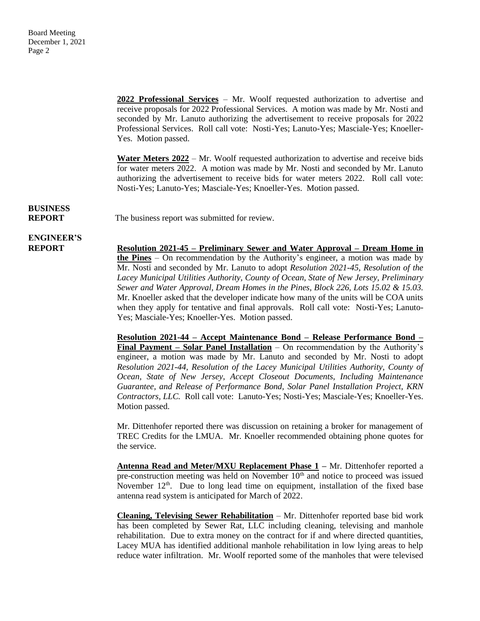**2022 Professional Services** – Mr. Woolf requested authorization to advertise and receive proposals for 2022 Professional Services. A motion was made by Mr. Nosti and seconded by Mr. Lanuto authorizing the advertisement to receive proposals for 2022 Professional Services. Roll call vote: Nosti-Yes; Lanuto-Yes; Masciale-Yes; Knoeller-Yes. Motion passed.

**Water Meters 2022** – Mr. Woolf requested authorization to advertise and receive bids for water meters 2022. A motion was made by Mr. Nosti and seconded by Mr. Lanuto authorizing the advertisement to receive bids for water meters 2022. Roll call vote: Nosti-Yes; Lanuto-Yes; Masciale-Yes; Knoeller-Yes. Motion passed.

# **BUSINESS**

**REPORT** The business report was submitted for review.

**ENGINEER'S**

**REPORT Resolution 2021-45 – Preliminary Sewer and Water Approval – Dream Home in the Pines** – On recommendation by the Authority's engineer, a motion was made by Mr. Nosti and seconded by Mr. Lanuto to adopt *Resolution 2021-45, Resolution of the Lacey Municipal Utilities Authority, County of Ocean, State of New Jersey, Preliminary Sewer and Water Approval, Dream Homes in the Pines, Block 226, Lots 15.02 & 15.03.*  Mr. Knoeller asked that the developer indicate how many of the units will be COA units when they apply for tentative and final approvals. Roll call vote: Nosti-Yes; Lanuto-Yes; Masciale-Yes; Knoeller-Yes. Motion passed.

> **Resolution 2021-44 – Accept Maintenance Bond – Release Performance Bond – Final Payment – Solar Panel Installation** – On recommendation by the Authority's engineer, a motion was made by Mr. Lanuto and seconded by Mr. Nosti to adopt *Resolution 2021-44, Resolution of the Lacey Municipal Utilities Authority, County of Ocean, State of New Jersey, Accept Closeout Documents, Including Maintenance Guarantee, and Release of Performance Bond, Solar Panel Installation Project, KRN Contractors, LLC.* Roll call vote: Lanuto-Yes; Nosti-Yes; Masciale-Yes; Knoeller-Yes. Motion passed.

> Mr. Dittenhofer reported there was discussion on retaining a broker for management of TREC Credits for the LMUA. Mr. Knoeller recommended obtaining phone quotes for the service.

> **Antenna Read and Meter/MXU Replacement Phase 1 –** Mr. Dittenhofer reported a pre-construction meeting was held on November  $10<sup>th</sup>$  and notice to proceed was issued November  $12<sup>th</sup>$ . Due to long lead time on equipment, installation of the fixed base antenna read system is anticipated for March of 2022.

> **Cleaning, Televising Sewer Rehabilitation** – Mr. Dittenhofer reported base bid work has been completed by Sewer Rat, LLC including cleaning, televising and manhole rehabilitation. Due to extra money on the contract for if and where directed quantities, Lacey MUA has identified additional manhole rehabilitation in low lying areas to help reduce water infiltration. Mr. Woolf reported some of the manholes that were televised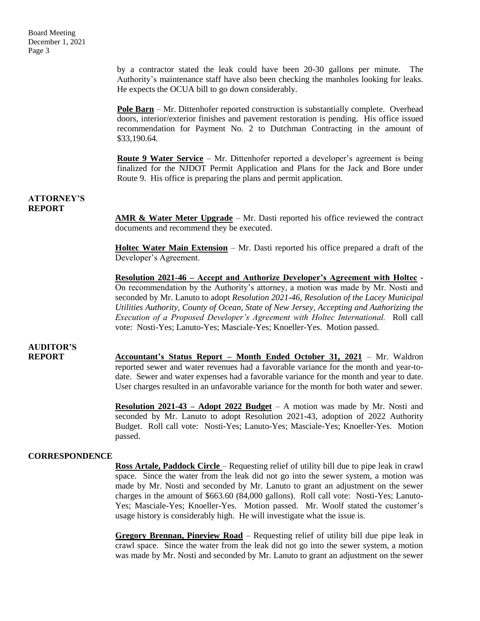by a contractor stated the leak could have been 20-30 gallons per minute. The Authority's maintenance staff have also been checking the manholes looking for leaks. He expects the OCUA bill to go down considerably.

**Pole Barn** – Mr. Dittenhofer reported construction is substantially complete. Overhead doors, interior/exterior finishes and pavement restoration is pending. His office issued recommendation for Payment No. 2 to Dutchman Contracting in the amount of \$33,190.64.

**Route 9 Water Service** – Mr. Dittenhofer reported a developer's agreement is being finalized for the NJDOT Permit Application and Plans for the Jack and Bore under Route 9. His office is preparing the plans and permit application.

#### **ATTORNEY'S REPORT**

**AMR & Water Meter Upgrade** – Mr. Dasti reported his office reviewed the contract documents and recommend they be executed.

**Holtec Water Main Extension** – Mr. Dasti reported his office prepared a draft of the Developer's Agreement.

**Resolution 2021-46 – Accept and Authorize Developer's Agreement with Holtec -**  On recommendation by the Authority's attorney, a motion was made by Mr. Nosti and seconded by Mr. Lanuto to adopt *Resolution 2021-46, Resolution of the Lacey Municipal Utilities Authority, County of Ocean, State of New Jersey, Accepting and Authorizing the Execution of a Proposed Developer's Agreement with Holtec International.* Roll call vote: Nosti-Yes; Lanuto-Yes; Masciale-Yes; Knoeller-Yes. Motion passed.

## **AUDITOR'S**

**REPORT Accountant's Status Report – Month Ended October 31, 2021** – Mr. Waldron reported sewer and water revenues had a favorable variance for the month and year-todate. Sewer and water expenses had a favorable variance for the month and year to date. User charges resulted in an unfavorable variance for the month for both water and sewer.

> **Resolution 2021-43 – Adopt 2022 Budget** – A motion was made by Mr. Nosti and seconded by Mr. Lanuto to adopt Resolution 2021-43, adoption of 2022 Authority Budget. Roll call vote: Nosti-Yes; Lanuto-Yes; Masciale-Yes; Knoeller-Yes. Motion passed.

#### **CORRESPONDENCE**

**Ross Artale, Paddock Circle** – Requesting relief of utility bill due to pipe leak in crawl space. Since the water from the leak did not go into the sewer system, a motion was made by Mr. Nosti and seconded by Mr. Lanuto to grant an adjustment on the sewer charges in the amount of \$663.60 (84,000 gallons). Roll call vote: Nosti-Yes; Lanuto-Yes; Masciale-Yes; Knoeller-Yes. Motion passed. Mr. Woolf stated the customer's usage history is considerably high. He will investigate what the issue is.

**Gregory Brennan, Pineview Road** – Requesting relief of utility bill due pipe leak in crawl space. Since the water from the leak did not go into the sewer system, a motion was made by Mr. Nosti and seconded by Mr. Lanuto to grant an adjustment on the sewer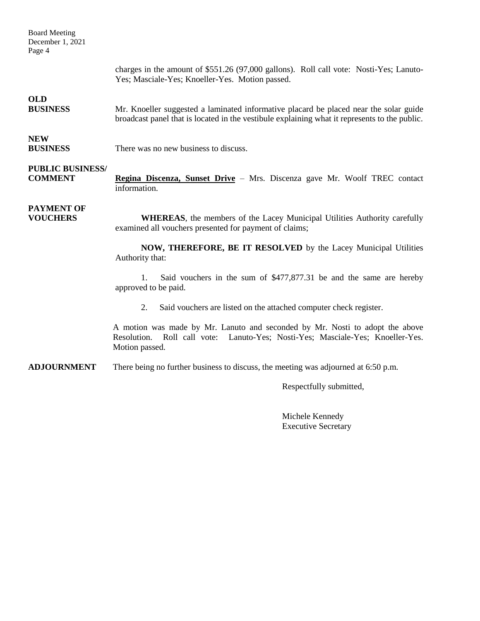Board Meeting December 1, 2021 Page 4

> charges in the amount of \$551.26 (97,000 gallons). Roll call vote: Nosti-Yes; Lanuto-Yes; Masciale-Yes; Knoeller-Yes. Motion passed.

### **OLD**

**BUSINESS** Mr. Knoeller suggested a laminated informative placard be placed near the solar guide broadcast panel that is located in the vestibule explaining what it represents to the public.

### **NEW**

**BUSINESS** There was no new business to discuss.

## **PUBLIC BUSINESS/**

**COMMENT Regina Discenza, Sunset Drive** – Mrs. Discenza gave Mr. Woolf TREC contact information.

# **PAYMENT OF**

**VOUCHERS WHEREAS**, the members of the Lacey Municipal Utilities Authority carefully examined all vouchers presented for payment of claims;

> **NOW, THEREFORE, BE IT RESOLVED** by the Lacey Municipal Utilities Authority that:

> 1. Said vouchers in the sum of \$477,877.31 be and the same are hereby approved to be paid.

2. Said vouchers are listed on the attached computer check register.

A motion was made by Mr. Lanuto and seconded by Mr. Nosti to adopt the above Resolution. Roll call vote: Lanuto-Yes; Nosti-Yes; Masciale-Yes; Knoeller-Yes. Motion passed.

**ADJOURNMENT** There being no further business to discuss, the meeting was adjourned at 6:50 p.m.

Respectfully submitted,

Michele Kennedy Executive Secretary